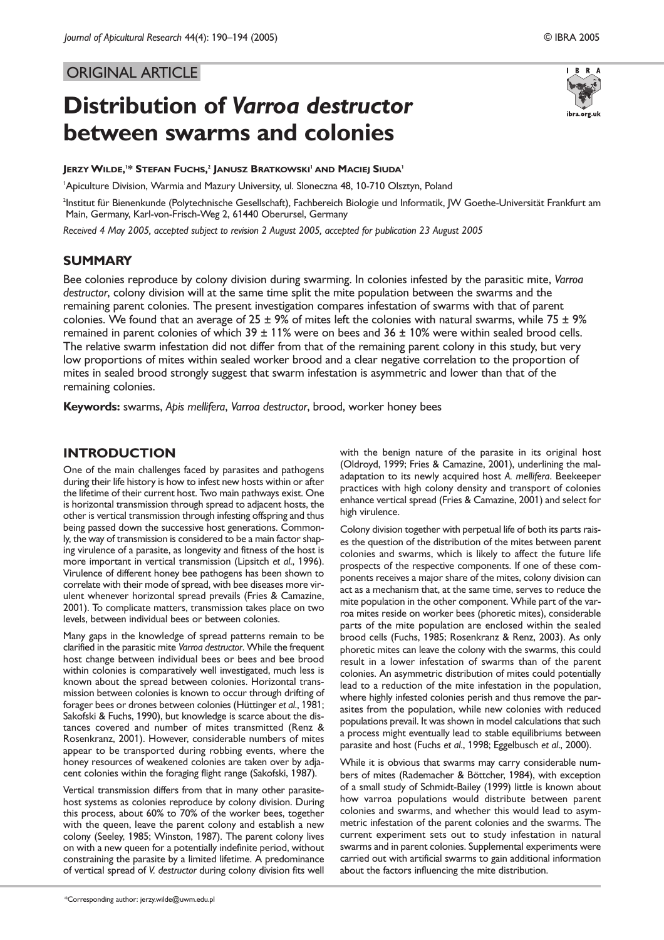# ORIGINAL ARTICLE

# **Distribution of** *Varroa destructor* **between swarms and colonies**

ibra.org.uk

**JERZYWILDE, 1 \* STEFAN FUCHS, <sup>2</sup> JANUSZ BRATKOWSKI<sup>1</sup> AND MACIEJ SIUDA<sup>1</sup>**

1 Apiculture Division, Warmia and Mazury University, ul. Sloneczna 48, 10-710 Olsztyn, Poland

2 Institut für Bienenkunde (Polytechnische Gesellschaft), Fachbereich Biologie und Informatik, JW Goethe-Universität Frankfurt am Main, Germany, Karl-von-Frisch-Weg 2, 61440 Oberursel, Germany

*Received 4 May 2005, accepted subject to revision 2 August 2005, accepted for publication 23 August 2005*

# **SUMMARY**

Bee colonies reproduce by colony division during swarming. In colonies infested by the parasitic mite, *Varroa destructor*, colony division will at the same time split the mite population between the swarms and the remaining parent colonies. The present investigation compares infestation of swarms with that of parent colonies. We found that an average of 25  $\pm$  9% of mites left the colonies with natural swarms, while 75  $\pm$  9% remained in parent colonies of which  $39 \pm 11\%$  were on bees and  $36 \pm 10\%$  were within sealed brood cells. The relative swarm infestation did not differ from that of the remaining parent colony in this study, but very low proportions of mites within sealed worker brood and a clear negative correlation to the proportion of mites in sealed brood strongly suggest that swarm infestation is asymmetric and lower than that of the remaining colonies.

**Keywords:** swarms, *Apis mellifera*, *Varroa destructor*, brood, worker honey bees

## **INTRODUCTION**

One of the main challenges faced by parasites and pathogens during their life history is how to infest new hosts within or after the lifetime of their current host. Two main pathways exist. One is horizontal transmission through spread to adjacent hosts, the other is vertical transmission through infesting offspring and thus being passed down the successive host generations. Commonly, the way of transmission is considered to be a main factor shaping virulence of a parasite, as longevity and fitness of the host is more important in vertical transmission (Lipsitch *et al*., 1996). Virulence of different honey bee pathogens has been shown to correlate with their mode of spread, with bee diseases more virulent whenever horizontal spread prevails (Fries & Camazine, 2001). To complicate matters, transmission takes place on two levels, between individual bees or between colonies.

Many gaps in the knowledge of spread patterns remain to be clarified in the parasitic mite *Varroa destructor*. While the frequent host change between individual bees or bees and bee brood within colonies is comparatively well investigated, much less is known about the spread between colonies. Horizontal transmission between colonies is known to occur through drifting of forager bees or drones between colonies (Hüttinger *et al*., 1981; Sakofski & Fuchs, 1990), but knowledge is scarce about the distances covered and number of mites transmitted (Renz & Rosenkranz, 2001). However, considerable numbers of mites appear to be transported during robbing events, where the honey resources of weakened colonies are taken over by adjacent colonies within the foraging flight range (Sakofski, 1987).

Vertical transmission differs from that in many other parasitehost systems as colonies reproduce by colony division. During this process, about 60% to 70% of the worker bees, together with the queen, leave the parent colony and establish a new colony (Seeley, 1985; Winston, 1987). The parent colony lives on with a new queen for a potentially indefinite period, without constraining the parasite by a limited lifetime. A predominance of vertical spread of *V. destructor* during colony division fits well

\*Corresponding author: jerzy.wilde@uwm.edu.pl

with the benign nature of the parasite in its original host (Oldroyd, 1999; Fries & Camazine, 2001), underlining the maladaptation to its newly acquired host *A. mellifera*. Beekeeper practices with high colony density and transport of colonies enhance vertical spread (Fries & Camazine, 2001) and select for high virulence.

Colony division together with perpetual life of both its parts raises the question of the distribution of the mites between parent colonies and swarms, which is likely to affect the future life prospects of the respective components. If one of these components receives a major share of the mites, colony division can act as a mechanism that, at the same time, serves to reduce the mite population in the other component. While part of the varroa mites reside on worker bees (phoretic mites), considerable parts of the mite population are enclosed within the sealed brood cells (Fuchs, 1985; Rosenkranz & Renz, 2003). As only phoretic mites can leave the colony with the swarms, this could result in a lower infestation of swarms than of the parent colonies. An asymmetric distribution of mites could potentially lead to a reduction of the mite infestation in the population, where highly infested colonies perish and thus remove the parasites from the population, while new colonies with reduced populations prevail. It was shown in model calculations that such a process might eventually lead to stable equilibriums between parasite and host (Fuchs *et al*., 1998; Eggelbusch *et al*., 2000).

While it is obvious that swarms may carry considerable numbers of mites (Rademacher & Böttcher, 1984), with exception of a small study of Schmidt-Bailey (1999) little is known about how varroa populations would distribute between parent colonies and swarms, and whether this would lead to asymmetric infestation of the parent colonies and the swarms. The current experiment sets out to study infestation in natural swarms and in parent colonies. Supplemental experiments were carried out with artificial swarms to gain additional information about the factors influencing the mite distribution.

IBRA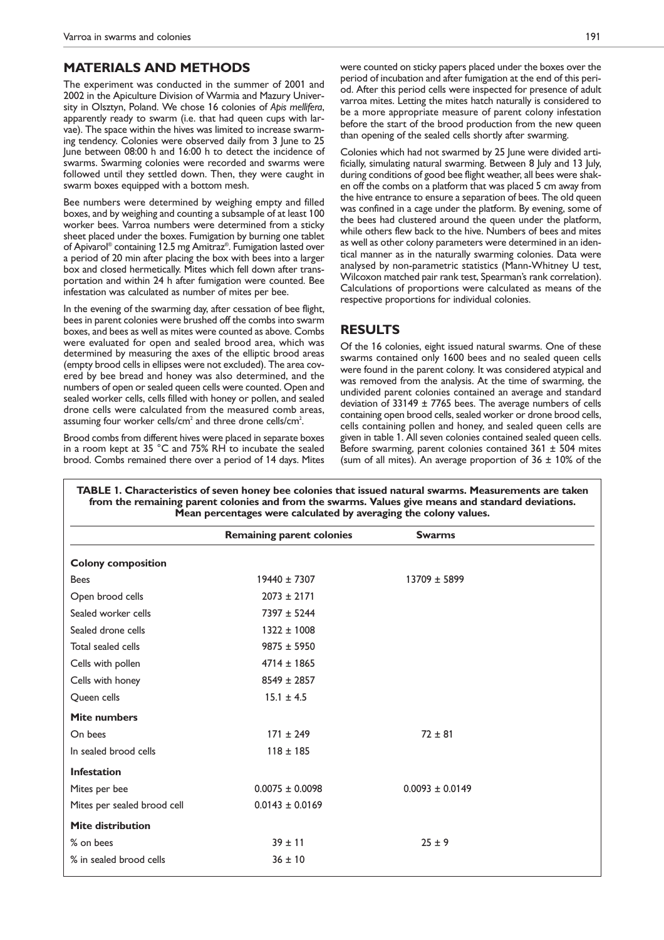## **MATERIALS AND METHODS**

The experiment was conducted in the summer of 2001 and 2002 in the Apiculture Division of Warmia and Mazury University in Olsztyn, Poland. We chose 16 colonies of *Apis mellifera*, apparently ready to swarm (i.e. that had queen cups with larvae). The space within the hives was limited to increase swarming tendency. Colonies were observed daily from 3 June to 25 June between 08:00 h and 16:00 h to detect the incidence of swarms. Swarming colonies were recorded and swarms were followed until they settled down. Then, they were caught in swarm boxes equipped with a bottom mesh.

Bee numbers were determined by weighing empty and filled boxes, and by weighing and counting a subsample of at least 100 worker bees. Varroa numbers were determined from a sticky sheet placed under the boxes. Fumigation by burning one tablet of Apivarol® containing 12.5 mg Amitraz® . Fumigation lasted over a period of 20 min after placing the box with bees into a larger box and closed hermetically. Mites which fell down after transportation and within 24 h after fumigation were counted. Bee infestation was calculated as number of mites per bee.

In the evening of the swarming day, after cessation of bee flight, bees in parent colonies were brushed off the combs into swarm boxes, and bees as well as mites were counted as above. Combs were evaluated for open and sealed brood area, which was determined by measuring the axes of the elliptic brood areas (empty brood cells in ellipses were not excluded). The area covered by bee bread and honey was also determined, and the numbers of open or sealed queen cells were counted. Open and sealed worker cells, cells filled with honey or pollen, and sealed drone cells were calculated from the measured comb areas, assuming four worker cells/cm $^2$  and three drone cells/cm $^2$ .

Brood combs from different hives were placed in separate boxes in a room kept at 35 °C and 75% RH to incubate the sealed brood. Combs remained there over a period of 14 days. Mites were counted on sticky papers placed under the boxes over the period of incubation and after fumigation at the end of this period. After this period cells were inspected for presence of adult varroa mites. Letting the mites hatch naturally is considered to be a more appropriate measure of parent colony infestation before the start of the brood production from the new queen than opening of the sealed cells shortly after swarming.

Colonies which had not swarmed by 25 June were divided artificially, simulating natural swarming. Between 8 July and 13 July, during conditions of good bee flight weather, all bees were shaken off the combs on a platform that was placed 5 cm away from the hive entrance to ensure a separation of bees. The old queen was confined in a cage under the platform. By evening, some of the bees had clustered around the queen under the platform, while others flew back to the hive. Numbers of bees and mites as well as other colony parameters were determined in an identical manner as in the naturally swarming colonies. Data were analysed by non-parametric statistics (Mann-Whitney U test, Wilcoxon matched pair rank test, Spearman's rank correlation). Calculations of proportions were calculated as means of the respective proportions for individual colonies.

### **RESULTS**

Of the 16 colonies, eight issued natural swarms. One of these swarms contained only 1600 bees and no sealed queen cells were found in the parent colony. It was considered atypical and was removed from the analysis. At the time of swarming, the undivided parent colonies contained an average and standard deviation of 33149  $\pm$  7765 bees. The average numbers of cells containing open brood cells, sealed worker or drone brood cells, cells containing pollen and honey, and sealed queen cells are given in table 1. All seven colonies contained sealed queen cells. Before swarming, parent colonies contained  $361 \pm 504$  mites (sum of all mites). An average proportion of  $36 \pm 10\%$  of the

| <b>Colony composition</b><br>$19440 \pm 7307$<br>13709 ± 5899<br><b>Bees</b><br>$2073 \pm 2171$<br>Open brood cells<br>Sealed worker cells<br>7397 ± 5244<br>Sealed drone cells<br>$1322 \pm 1008$<br>Total sealed cells<br>$9875 \pm 5950$<br>$4714 \pm 1865$<br>Cells with pollen |
|-------------------------------------------------------------------------------------------------------------------------------------------------------------------------------------------------------------------------------------------------------------------------------------|
|                                                                                                                                                                                                                                                                                     |
|                                                                                                                                                                                                                                                                                     |
|                                                                                                                                                                                                                                                                                     |
|                                                                                                                                                                                                                                                                                     |
|                                                                                                                                                                                                                                                                                     |
|                                                                                                                                                                                                                                                                                     |
|                                                                                                                                                                                                                                                                                     |
| $8549 \pm 2857$<br>Cells with honey                                                                                                                                                                                                                                                 |
| Queen cells<br>$15.1 \pm 4.5$                                                                                                                                                                                                                                                       |
| Mite numbers                                                                                                                                                                                                                                                                        |
| $171 \pm 249$<br>$72 \pm 81$<br>On bees                                                                                                                                                                                                                                             |
| In sealed brood cells<br>$118 \pm 185$                                                                                                                                                                                                                                              |
| <b>Infestation</b>                                                                                                                                                                                                                                                                  |
| $0.0075 \pm 0.0098$<br>$0.0093 + 0.0149$<br>Mites per bee                                                                                                                                                                                                                           |
| $0.0143 \pm 0.0169$<br>Mites per sealed brood cell                                                                                                                                                                                                                                  |
| <b>Mite distribution</b>                                                                                                                                                                                                                                                            |
| % on bees<br>$39 \pm 11$<br>$25 \pm 9$                                                                                                                                                                                                                                              |
| % in sealed brood cells<br>$36 \pm 10$                                                                                                                                                                                                                                              |

**TABLE 1. Characteristics of seven honey bee colonies that issued natural swarms. Measurements are taken from the remaining parent colonies and from the swarms. Values give means and standard deviations.**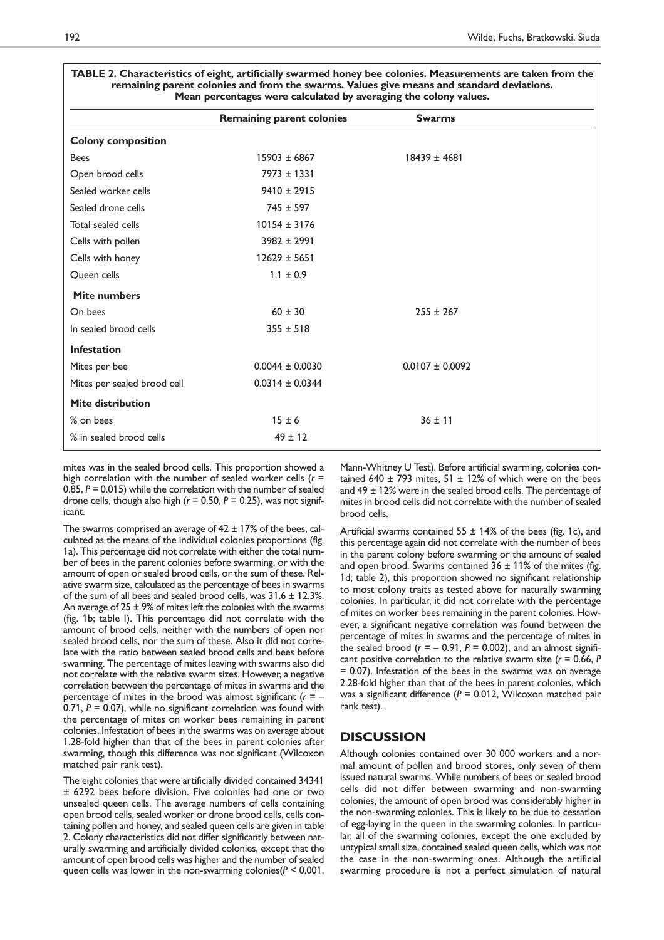|                             | <b>Remaining parent colonies</b> | <b>Swarms</b>       |
|-----------------------------|----------------------------------|---------------------|
| <b>Colony composition</b>   |                                  |                     |
| <b>Bees</b>                 | $15903 \pm 6867$                 | $18439 \pm 4681$    |
| Open brood cells            | $7973 \pm 1331$                  |                     |
| Sealed worker cells         | $9410 \pm 2915$                  |                     |
| Sealed drone cells          | $745 \pm 597$                    |                     |
| Total sealed cells          | $10154 \pm 3176$                 |                     |
| Cells with pollen           | $3982 \pm 2991$                  |                     |
| Cells with honey            | $12629 \pm 5651$                 |                     |
| Queen cells                 | $1.1 \pm 0.9$                    |                     |
| <b>Mite numbers</b>         |                                  |                     |
| On bees                     | $60 \pm 30$                      | $255 \pm 267$       |
| In sealed brood cells       | $355 \pm 518$                    |                     |
| <b>Infestation</b>          |                                  |                     |
| Mites per bee               | $0.0044 \pm 0.0030$              | $0.0107 \pm 0.0092$ |
| Mites per sealed brood cell | $0.0314 \pm 0.0344$              |                     |
| <b>Mite distribution</b>    |                                  |                     |
| % on bees                   | $15 \pm 6$                       | $36 \pm 11$         |
| % in sealed brood cells     | $49 \pm 12$                      |                     |

#### **TABLE 2. Characteristics of eight, artificially swarmed honey bee colonies. Measurements are taken from the remaining parent colonies and from the swarms. Values give means and standard deviations. Mean percentages were calculated by averaging the colony values.**

mites was in the sealed brood cells. This proportion showed a high correlation with the number of sealed worker cells (*r* = 0.85, *P* = 0.015) while the correlation with the number of sealed drone cells, though also high (*r* = 0.50, *P* = 0.25), was not significant.

The swarms comprised an average of  $42 \pm 17\%$  of the bees, calculated as the means of the individual colonies proportions (fig. 1a). This percentage did not correlate with either the total number of bees in the parent colonies before swarming, or with the amount of open or sealed brood cells, or the sum of these. Relative swarm size, calculated as the percentage of bees in swarms of the sum of all bees and sealed brood cells, was 31.6 ± 12.3%. An average of  $25 \pm 9\%$  of mites left the colonies with the swarms (fig. 1b; table I). This percentage did not correlate with the amount of brood cells, neither with the numbers of open nor sealed brood cells, nor the sum of these. Also it did not correlate with the ratio between sealed brood cells and bees before swarming. The percentage of mites leaving with swarms also did not correlate with the relative swarm sizes. However, a negative correlation between the percentage of mites in swarms and the percentage of mites in the brood was almost significant (*r* = – 0.71, *P* = 0.07), while no significant correlation was found with the percentage of mites on worker bees remaining in parent colonies. Infestation of bees in the swarms was on average about 1.28-fold higher than that of the bees in parent colonies after swarming, though this difference was not significant (Wilcoxon matched pair rank test).

The eight colonies that were artificially divided contained 34341 ± 6292 bees before division. Five colonies had one or two unsealed queen cells. The average numbers of cells containing open brood cells, sealed worker or drone brood cells, cells containing pollen and honey, and sealed queen cells are given in table 2. Colony characteristics did not differ significantly between naturally swarming and artificially divided colonies, except that the amount of open brood cells was higher and the number of sealed queen cells was lower in the non-swarming colonies(*P* < 0.001,

Mann-Whitney U Test). Before artificial swarming, colonies contained 640  $\pm$  793 mites, 51  $\pm$  12% of which were on the bees and 49 ± 12% were in the sealed brood cells. The percentage of mites in brood cells did not correlate with the number of sealed brood cells.

Artificial swarms contained  $55 \pm 14\%$  of the bees (fig. 1c), and this percentage again did not correlate with the number of bees in the parent colony before swarming or the amount of sealed and open brood. Swarms contained  $36 \pm 11\%$  of the mites (fig. 1d; table 2), this proportion showed no significant relationship to most colony traits as tested above for naturally swarming colonies. In particular, it did not correlate with the percentage of mites on worker bees remaining in the parent colonies. However, a significant negative correlation was found between the percentage of mites in swarms and the percentage of mites in the sealed brood  $(r = -0.91, P = 0.002)$ , and an almost significant positive correlation to the relative swarm size (*r* = 0.66, *P* = 0.07). Infestation of the bees in the swarms was on average 2.28-fold higher than that of the bees in parent colonies, which was a significant difference (*P* = 0.012, Wilcoxon matched pair rank test).

## **DISCUSSION**

Although colonies contained over 30 000 workers and a normal amount of pollen and brood stores, only seven of them issued natural swarms. While numbers of bees or sealed brood cells did not differ between swarming and non-swarming colonies, the amount of open brood was considerably higher in the non-swarming colonies. This is likely to be due to cessation of egg-laying in the queen in the swarming colonies. In particular, all of the swarming colonies, except the one excluded by untypical small size, contained sealed queen cells, which was not the case in the non-swarming ones. Although the artificial swarming procedure is not a perfect simulation of natural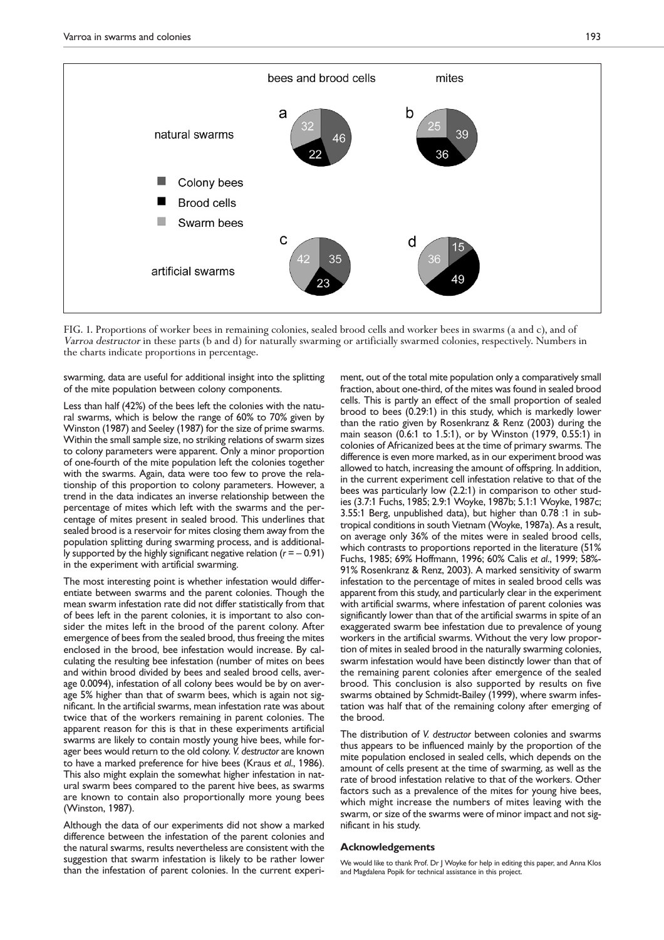

FIG. 1. Proportions of worker bees in remaining colonies, sealed brood cells and worker bees in swarms (a and c), and of Varroa destructor in these parts (b and d) for naturally swarming or artificially swarmed colonies, respectively. Numbers in the charts indicate proportions in percentage.

swarming, data are useful for additional insight into the splitting of the mite population between colony components.

Less than half (42%) of the bees left the colonies with the natural swarms, which is below the range of 60% to 70% given by Winston (1987) and Seeley (1987) for the size of prime swarms. Within the small sample size, no striking relations of swarm sizes to colony parameters were apparent. Only a minor proportion of one-fourth of the mite population left the colonies together with the swarms. Again, data were too few to prove the relationship of this proportion to colony parameters. However, a trend in the data indicates an inverse relationship between the percentage of mites which left with the swarms and the percentage of mites present in sealed brood. This underlines that sealed brood is a reservoir for mites closing them away from the population splitting during swarming process, and is additionally supported by the highly significant negative relation  $(r = -0.91)$ in the experiment with artificial swarming.

The most interesting point is whether infestation would differentiate between swarms and the parent colonies. Though the mean swarm infestation rate did not differ statistically from that of bees left in the parent colonies, it is important to also consider the mites left in the brood of the parent colony. After emergence of bees from the sealed brood, thus freeing the mites enclosed in the brood, bee infestation would increase. By calculating the resulting bee infestation (number of mites on bees and within brood divided by bees and sealed brood cells, average 0.0094), infestation of all colony bees would be by on average 5% higher than that of swarm bees, which is again not significant. In the artificial swarms, mean infestation rate was about twice that of the workers remaining in parent colonies. The apparent reason for this is that in these experiments artificial swarms are likely to contain mostly young hive bees, while forager bees would return to the old colony. *V. destructor* are known to have a marked preference for hive bees (Kraus *et al*., 1986). This also might explain the somewhat higher infestation in natural swarm bees compared to the parent hive bees, as swarms are known to contain also proportionally more young bees (Winston, 1987).

Although the data of our experiments did not show a marked difference between the infestation of the parent colonies and the natural swarms, results nevertheless are consistent with the suggestion that swarm infestation is likely to be rather lower than the infestation of parent colonies. In the current experiment, out of the total mite population only a comparatively small fraction, about one-third, of the mites was found in sealed brood cells. This is partly an effect of the small proportion of sealed brood to bees (0.29:1) in this study, which is markedly lower than the ratio given by Rosenkranz & Renz (2003) during the main season (0.6:1 to 1.5:1), or by Winston (1979, 0.55:1) in colonies of Africanized bees at the time of primary swarms. The difference is even more marked, as in our experiment brood was allowed to hatch, increasing the amount of offspring. In addition, in the current experiment cell infestation relative to that of the bees was particularly low (2.2:1) in comparison to other studies (3.7:1 Fuchs, 1985; 2.9:1 Woyke, 1987b; 5.1:1 Woyke, 1987c; 3.55:1 Berg, unpublished data), but higher than 0.78 :1 in subtropical conditions in south Vietnam (Woyke, 1987a). As a result, on average only 36% of the mites were in sealed brood cells, which contrasts to proportions reported in the literature (51% Fuchs, 1985; 69% Hoffmann, 1996; 60% Calis *et al*., 1999; 58%- 91% Rosenkranz & Renz, 2003). A marked sensitivity of swarm infestation to the percentage of mites in sealed brood cells was apparent from this study, and particularly clear in the experiment with artificial swarms, where infestation of parent colonies was significantly lower than that of the artificial swarms in spite of an exaggerated swarm bee infestation due to prevalence of young workers in the artificial swarms. Without the very low proportion of mites in sealed brood in the naturally swarming colonies, swarm infestation would have been distinctly lower than that of the remaining parent colonies after emergence of the sealed brood. This conclusion is also supported by results on five swarms obtained by Schmidt-Bailey (1999), where swarm infestation was half that of the remaining colony after emerging of the brood.

The distribution of *V. destructor* between colonies and swarms thus appears to be influenced mainly by the proportion of the mite population enclosed in sealed cells, which depends on the amount of cells present at the time of swarming, as well as the rate of brood infestation relative to that of the workers. Other factors such as a prevalence of the mites for young hive bees, which might increase the numbers of mites leaving with the swarm, or size of the swarms were of minor impact and not significant in his study.

#### **Acknowledgements**

We would like to thank Prof. Dr | Woyke for help in editing this paper, and Anna Klos and Magdalena Popik for technical assistance in this project.